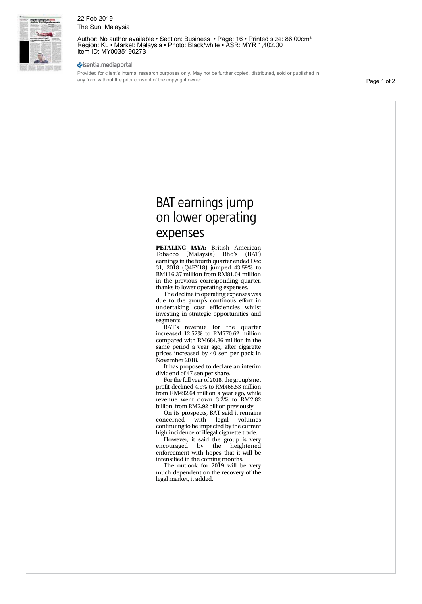

## 22 Feb 2019 The Sun, Malaysia

Author: No author available · Section: Business · Page: 16 · Printed size: 86.00cm<sup>2</sup> Region: KL • Market: Malaysia • Photo: Black/white • ASR: MYR 1,402.00 Item ID: MY0035190273

## sisentia.mediaportal

Provided for client's internal research purposes only. May not be further copied, distributed, sold or published in any form without the prior consent of the copyright owner.

Page 1 of 2

# **EAT earnings jump** on lower operating expenses

**PETALING JAYA:** British American Tobacco (Malaysia) Bhd's (BAT) earnings in the fourth quarter ended Dec 31, 2018 (Q4FY18) jumped 43.59% to RM116.37 million from RM81.04 million in the previous corresponding quarter, thanks to lower operating expenses.

The decline in operating expenses was due to the group's continous effort in undertaking cost efficiencies whilst investing in strategic opportunities and segments.

BAT's revenue for the quarter increased 12.52% to RM770.62 million compared with RM684.86 million in the same period a year ago, after cigarette prices increased by 40 sen per pack in November 2018.

It has proposed to declare an interim dividend of 47 sen per share.

For the full year of 2018, the group's net profit declined 4.9% to RM468.53 million from RM492.64 million a year ago, while revenue went down 3.2% to RM2.82 billion, from RM2.92 billion previously.

On its prospects, BAT said it remains concerned with legal volumes continuing to be impacted by the current high incidence of illegal cigarette trade.

However, it said the group is very encouraged by the heightened enforcement with hopes that it will be intensified in the coming months.

The outlook for 2019 will be very much dependent on the recovery of the legal market, it added.